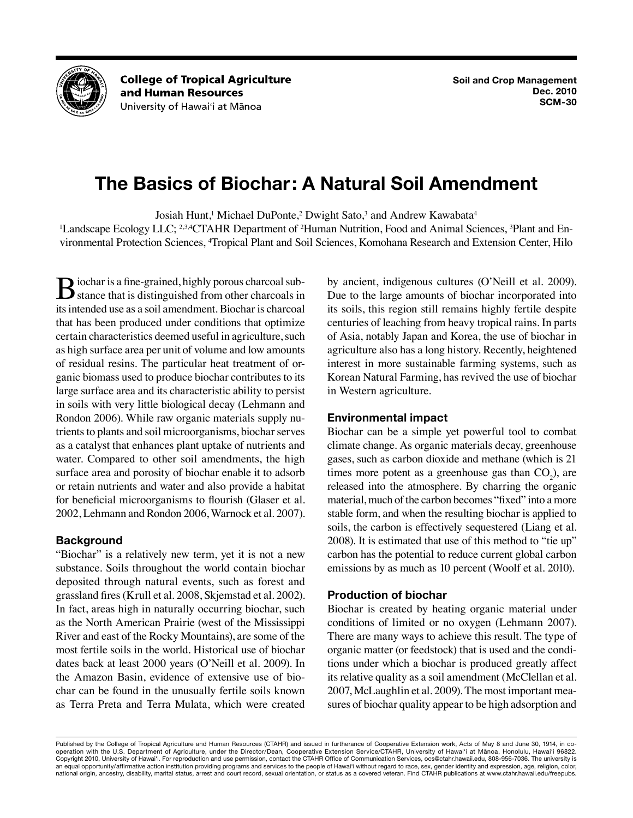

**College of Tropical Agriculture** and Human Resources University of Hawai'i at Mānoa

# **The Basics of Biochar: A Natural Soil Amendment**

Josiah Hunt,<sup>1</sup> Michael DuPonte,<sup>2</sup> Dwight Sato,<sup>3</sup> and Andrew Kawabata<sup>4</sup>

<sup>1</sup>Landscape Ecology LLC; <sup>2,3,4</sup>CTAHR Department of <sup>2</sup>Human Nutrition, Food and Animal Sciences, <sup>3</sup>Plant and Environmental Protection Sciences, <sup>4</sup>Tropical Plant and Soil Sciences, Komohana Research and Extension Center, Hilo

**B**iochar is a fine-grained, highly porous charcoal substance that is distinguished from other charcoals in its intended use as a soil amendment. Biochar is charcoal that has been produced under conditions that optimize certain characteristics deemed useful in agriculture, such as high surface area per unit of volume and low amounts of residual resins. The particular heat treatment of organic biomass used to produce biochar contributes to its large surface area and its characteristic ability to persist in soils with very little biological decay (Lehmann and Rondon 2006). While raw organic materials supply nutrients to plants and soil microorganisms, biochar serves as a catalyst that enhances plant uptake of nutrients and water. Compared to other soil amendments, the high surface area and porosity of biochar enable it to adsorb or retain nutrients and water and also provide a habitat for beneficial microorganisms to flourish (Glaser et al. 2002, Lehmann and Rondon 2006, Warnock et al. 2007).

# **Background**

"Biochar" is a relatively new term, yet it is not a new substance. Soils throughout the world contain biochar deposited through natural events, such as forest and grassland fires (Krull et al. 2008, Skjemstad et al. 2002). In fact, areas high in naturally occurring biochar, such as the North American Prairie (west of the Mississippi River and east of the Rocky Mountains), are some of the most fertile soils in the world. Historical use of biochar dates back at least 2000 years (O'Neill et al. 2009). In the Amazon Basin, evidence of extensive use of biochar can be found in the unusually fertile soils known as Terra Preta and Terra Mulata, which were created by ancient, indigenous cultures (O'Neill et al. 2009). Due to the large amounts of biochar incorporated into its soils, this region still remains highly fertile despite centuries of leaching from heavy tropical rains. In parts of Asia, notably Japan and Korea, the use of biochar in agriculture also has a long history. Recently, heightened interest in more sustainable farming systems, such as Korean Natural Farming, has revived the use of biochar in Western agriculture.

# **Environmental impact**

Biochar can be a simple yet powerful tool to combat climate change. As organic materials decay, greenhouse gases, such as carbon dioxide and methane (which is 21 times more potent as a greenhouse gas than  $CO<sub>2</sub>$ ), are released into the atmosphere. By charring the organic material, much of the carbon becomes "fixed" into a more stable form, and when the resulting biochar is applied to soils, the carbon is effectively sequestered (Liang et al. 2008). It is estimated that use of this method to "tie up" carbon has the potential to reduce current global carbon emissions by as much as 10 percent (Woolf et al. 2010).

# **Production of biochar**

Biochar is created by heating organic material under conditions of limited or no oxygen (Lehmann 2007). There are many ways to achieve this result. The type of organic matter (or feedstock) that is used and the conditions under which a biochar is produced greatly affect its relative quality as a soil amendment (McClellan et al. 2007, McLaughlin et al. 2009). The most important measures of biochar quality appear to be high adsorption and

Published by the College of Tropical Agriculture and Human Resources (CTAHR) and issued in furtherance of Cooperative Extension work, Acts of May 8 and June 30, 1914, in cooperation with the U.S. Department of Agriculture, under the Director/Dean, Cooperative Extension Service/CTAHR, University of Hawai'i at Mānoa, Honolulu, Hawai'i 96822. Copyright 2010, University of Hawai'i. For reproduction and use permission, contact the CTAHR Office of Communication Services, ocs@ctahr.hawaii.edu, 808-956-7036. The university is an equal opportunity/affirmative action institution providing programs and services to the people of Hawai'i without regard to race, sex, gender identity and expression, age, religion, color, national origin, ancestry, disability, marital status, arrest and court record, sexual orientation, or status as a covered veteran. Find CTAHR publications at www.ctahr.hawaii.edu/freepubs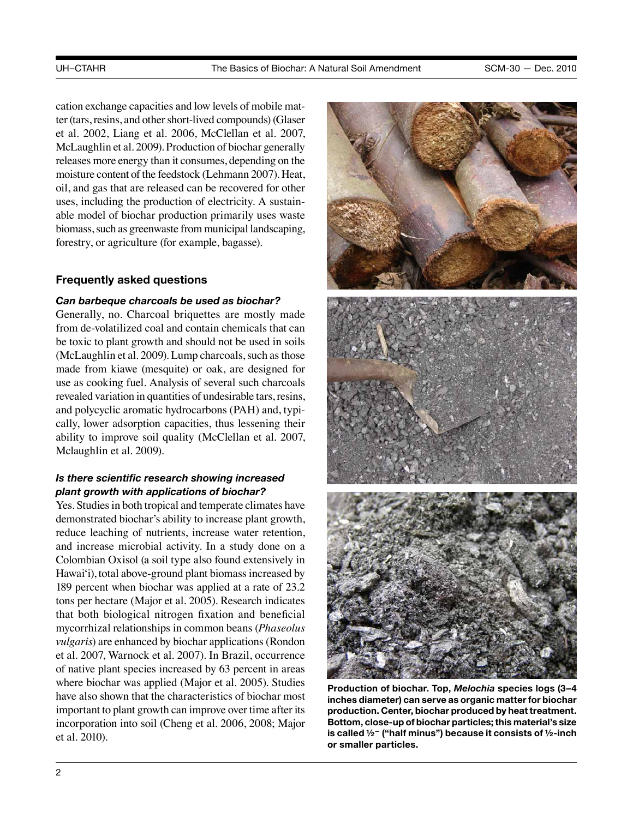cation exchange capacities and low levels of mobile matter (tars, resins, and other short-lived compounds) (Glaser et al. 2002, Liang et al. 2006, McClellan et al. 2007, McLaughlin et al. 2009). Production of biochar generally releases more energy than it consumes, depending on the moisture content of the feedstock (Lehmann 2007). Heat, oil, and gas that are released can be recovered for other uses, including the production of electricity. A sustainable model of biochar production primarily uses waste biomass, such as greenwaste from municipal landscaping, forestry, or agriculture (for example, bagasse).

## **Frequently asked questions**

#### *Can barbeque charcoals be used as biochar?*

Generally, no. Charcoal briquettes are mostly made from de-volatilized coal and contain chemicals that can be toxic to plant growth and should not be used in soils (McLaughlin et al. 2009). Lump charcoals, such as those made from kiawe (mesquite) or oak, are designed for use as cooking fuel. Analysis of several such charcoals revealed variation in quantities of undesirable tars, resins, and polycyclic aromatic hydrocarbons (PAH) and, typically, lower adsorption capacities, thus lessening their ability to improve soil quality (McClellan et al. 2007, Mclaughlin et al. 2009).

# *Is there scientific research showing increased plant growth with applications of biochar?*

Yes. Studies in both tropical and temperate climates have demonstrated biochar's ability to increase plant growth, reduce leaching of nutrients, increase water retention, and increase microbial activity. In a study done on a Colombian Oxisol (a soil type also found extensively in Hawai'i), total above-ground plant biomass increased by 189 percent when biochar was applied at a rate of 23.2 tons per hectare (Major et al. 2005). Research indicates that both biological nitrogen fixation and beneficial mycorrhizal relationships in common beans (*Phaseolus vulgaris*) are enhanced by biochar applications (Rondon et al. 2007, Warnock et al. 2007). In Brazil, occurrence of native plant species increased by 63 percent in areas where biochar was applied (Major et al. 2005). Studies have also shown that the characteristics of biochar most important to plant growth can improve over time after its incorporation into soil (Cheng et al. 2006, 2008; Major et al. 2010).



**Production of biochar. Top,** *Melochia* **species logs (3–4 inches diameter) can serve as organic matter for biochar production. Center, biochar produced by heat treatment. Bottom, close-up of biochar particles; this material's size is called ½— ("half minus") because it consists of ½-inch or smaller particles.**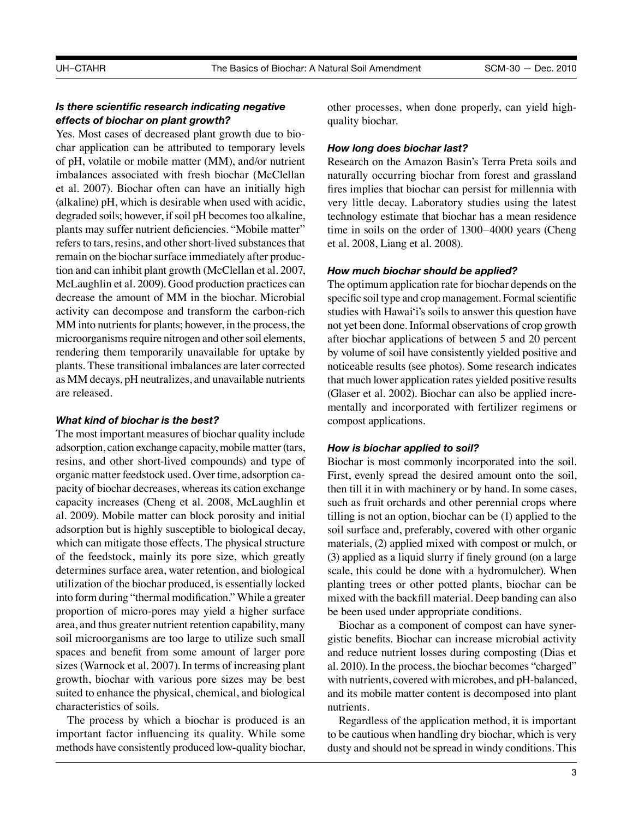## *Is there scientific research indicating negative effects of biochar on plant growth?*

Yes. Most cases of decreased plant growth due to biochar application can be attributed to temporary levels of pH, volatile or mobile matter (MM), and/or nutrient imbalances associated with fresh biochar (McClellan et al. 2007). Biochar often can have an initially high (alkaline) pH, which is desirable when used with acidic, degraded soils; however, if soil pH becomes too alkaline, plants may suffer nutrient deficiencies. "Mobile matter" refers to tars, resins, and other short-lived substances that remain on the biochar surface immediately after production and can inhibit plant growth (McClellan et al. 2007, McLaughlin et al. 2009). Good production practices can decrease the amount of MM in the biochar. Microbial activity can decompose and transform the carbon-rich MM into nutrients for plants; however, in the process, the microorganisms require nitrogen and other soil elements, rendering them temporarily unavailable for uptake by plants. These transitional imbalances are later corrected as MM decays, pH neutralizes, and unavailable nutrients are released.

#### *What kind of biochar is the best?*

The most important measures of biochar quality include adsorption, cation exchange capacity, mobile matter (tars, resins, and other short-lived compounds) and type of organic matter feedstock used. Over time, adsorption capacity of biochar decreases, whereas its cation exchange capacity increases (Cheng et al. 2008, McLaughlin et al. 2009). Mobile matter can block porosity and initial adsorption but is highly susceptible to biological decay, which can mitigate those effects. The physical structure of the feedstock, mainly its pore size, which greatly determines surface area, water retention, and biological utilization of the biochar produced, is essentially locked into form during "thermal modification." While a greater proportion of micro-pores may yield a higher surface area, and thus greater nutrient retention capability, many soil microorganisms are too large to utilize such small spaces and benefit from some amount of larger pore sizes (Warnock et al. 2007). In terms of increasing plant growth, biochar with various pore sizes may be best suited to enhance the physical, chemical, and biological characteristics of soils.

The process by which a biochar is produced is an important factor influencing its quality. While some methods have consistently produced low-quality biochar, other processes, when done properly, can yield highquality biochar.

#### *How long does biochar last?*

Research on the Amazon Basin's Terra Preta soils and naturally occurring biochar from forest and grassland fires implies that biochar can persist for millennia with very little decay. Laboratory studies using the latest technology estimate that biochar has a mean residence time in soils on the order of 1300–4000 years (Cheng et al. 2008, Liang et al. 2008).

#### *How much biochar should be applied?*

The optimum application rate for biochar depends on the specific soil type and crop management. Formal scientific studies with Hawai'i's soils to answer this question have not yet been done. Informal observations of crop growth after biochar applications of between 5 and 20 percent by volume of soil have consistently yielded positive and noticeable results (see photos). Some research indicates that much lower application rates yielded positive results (Glaser et al. 2002). Biochar can also be applied incrementally and incorporated with fertilizer regimens or compost applications.

#### *How is biochar applied to soil?*

Biochar is most commonly incorporated into the soil. First, evenly spread the desired amount onto the soil, then till it in with machinery or by hand. In some cases, such as fruit orchards and other perennial crops where tilling is not an option, biochar can be (1) applied to the soil surface and, preferably, covered with other organic materials, (2) applied mixed with compost or mulch, or (3) applied as a liquid slurry if finely ground (on a large scale, this could be done with a hydromulcher). When planting trees or other potted plants, biochar can be mixed with the backfill material. Deep banding can also be been used under appropriate conditions.

Biochar as a component of compost can have synergistic benefits. Biochar can increase microbial activity and reduce nutrient losses during composting (Dias et al. 2010). In the process, the biochar becomes "charged" with nutrients, covered with microbes, and pH-balanced, and its mobile matter content is decomposed into plant nutrients.

Regardless of the application method, it is important to be cautious when handling dry biochar, which is very dusty and should not be spread in windy conditions. This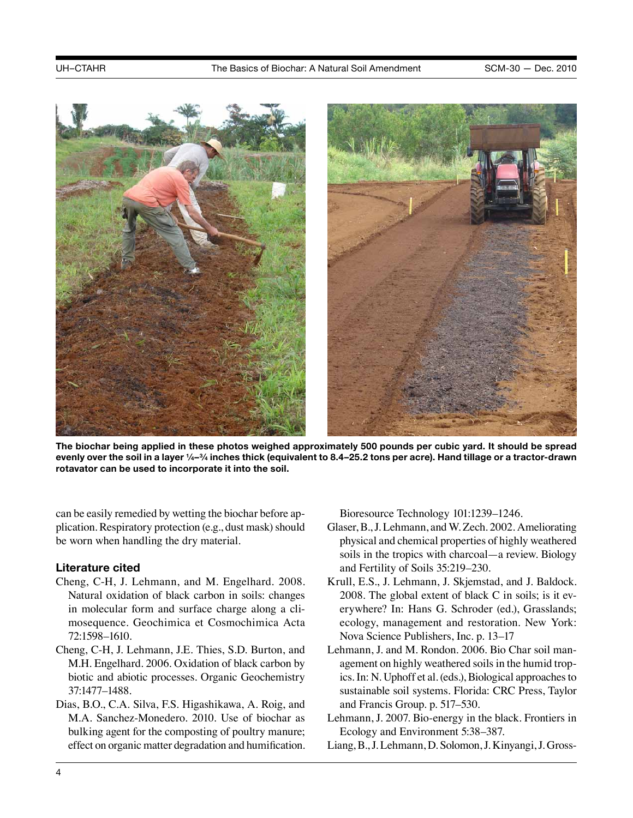

**The biochar being applied in these photos weighed approximately 500 pounds per cubic yard. It should be spread evenly over the soil in a layer 1⁄4–3⁄4 inches thick (equivalent to 8.4–25.2 tons per acre). Hand tillage or a tractor-drawn rotavator can be used to incorporate it into the soil.** 

can be easily remedied by wetting the biochar before application. Respiratory protection (e.g., dust mask) should be worn when handling the dry material.

## **Literature cited**

- Cheng, C-H, J. Lehmann, and M. Engelhard. 2008. Natural oxidation of black carbon in soils: changes in molecular form and surface charge along a climosequence. Geochimica et Cosmochimica Acta 72:1598–1610.
- Cheng, C-H, J. Lehmann, J.E. Thies, S.D. Burton, and M.H. Engelhard. 2006. Oxidation of black carbon by biotic and abiotic processes. Organic Geochemistry 37:1477–1488.
- Dias, B.O., C.A. Silva, F.S. Higashikawa, A. Roig, and M.A. Sanchez-Monedero. 2010. Use of biochar as bulking agent for the composting of poultry manure; effect on organic matter degradation and humification.

Bioresource Technology 101:1239–1246.

- Glaser, B., J. Lehmann, and W. Zech. 2002. Ameliorating physical and chemical properties of highly weathered soils in the tropics with charcoal—a review. Biology and Fertility of Soils 35:219–230.
- Krull, E.S., J. Lehmann, J. Skjemstad, and J. Baldock. 2008. The global extent of black C in soils; is it everywhere? In: Hans G. Schroder (ed.), Grasslands; ecology, management and restoration. New York: Nova Science Publishers, Inc. p. 13–17
- Lehmann, J. and M. Rondon. 2006. Bio Char soil management on highly weathered soils in the humid tropics. In: N. Uphoff et al. (eds.), Biological approaches to sustainable soil systems. Florida: CRC Press, Taylor and Francis Group. p. 517–530.
- Lehmann, J. 2007. Bio-energy in the black. Frontiers in Ecology and Environment 5:38–387.
- Liang, B., J. Lehmann, D. Solomon, J. Kinyangi, J. Gross-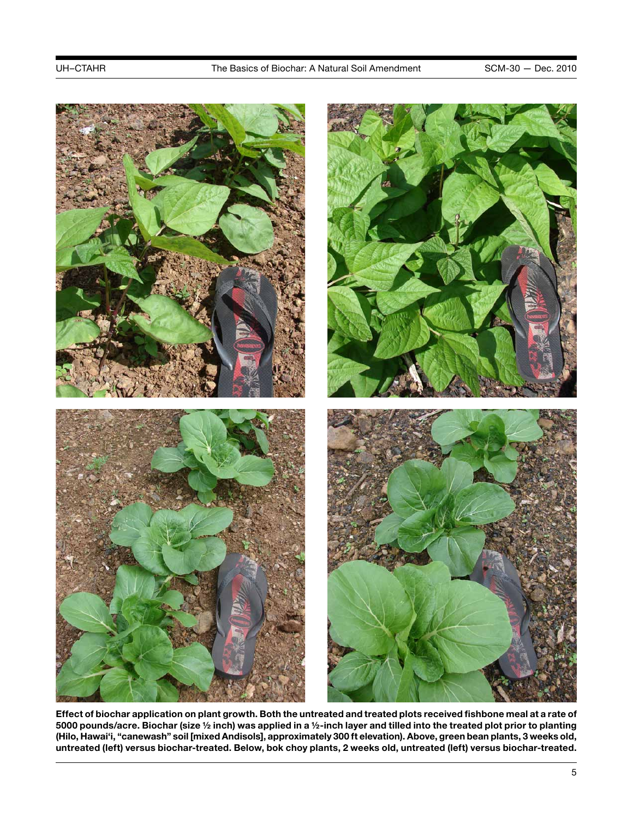

**Effect of biochar application on plant growth. Both the untreated and treated plots received fishbone meal at a rate of 5000 pounds/acre. Biochar (size ½ inch) was applied in a ½-inch layer and tilled into the treated plot prior to planting (Hilo, Hawai'i, "canewash" soil [mixed Andisols], approximately 300 ft elevation). Above, green bean plants, 3 weeks old, untreated (left) versus biochar-treated. Below, bok choy plants, 2 weeks old, untreated (left) versus biochar-treated.**